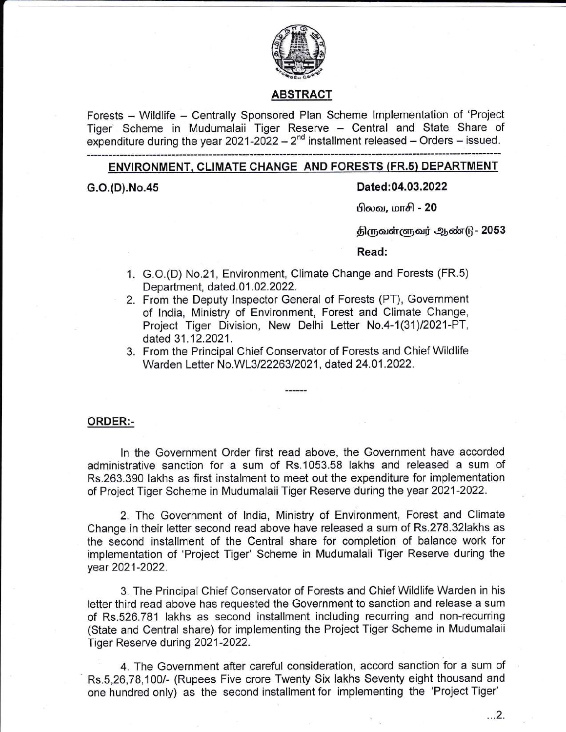

### ABSTRACI

Forests - Wildlife - Centrally Sponsored Plan Scheme Implementation of 'Project Tiger' Scheme in Mudumalaii Tiger Reserve - Central and State Share of expenditure during the year  $2021-2022 - 2^{nd}$  installment released – Orders – issued.

### ENVIRONMENT, CLIMATE CHANGE AND FORESTS (FR.s) DEPARTMENT

#### G.O.(D).No.45 Dated:04.03.2022

பிலவ, மாசி **-** 20

திருவள்ளுவர் ஆண்டு - 2053

#### Read:

- 1. G.O.(D) No.21, Environment, Climate Change and Forests (FR.5) Department, dated. 01.02.2022.
- 2. From the Deputy Inspector General of Forests (PT), Government of lndia, Ministry of Environment, Forest and Climate Change, Project Tiger Division, New Delhi Letter No.4-1(31)/2021-PT, dated 31.12.2021.
- From the Principal Chief Conservator of Forests and Chief Wildlife 3. Warden Letter No.WL3/22263/2021, dated 24.01.2022.

#### ORDER:-

ln the Government Order first read above, the Government have accorded administrative sanction for a sum of Rs.1053.58 lakhs and released a sum of Rs"263.390 lakhs as first instalment to meet out the expenditure for implementation of Project Tiger Scheme in Mudumalaii Tiger Reserve during the year 2021-2022.

2. The Government of lndia, Ministry of Environment, Forest and Climate Change in their letter second read above have released a sum of Rs.278.32lakhs as the second installment of the Central share for completion of balance work for implementation of 'Project Tiger' Scheme in Mudumalaii Tiger Reserve during the year 2021-2022.

3, The Principal Chief Conservator of Forests and Chief Wildlife Warden in his letter third read above has requested the Government to sanction and release a sum of Rs.526.781 lakhs as second installment including recurring and non-recurring (State and Central share) for implementing the Project Tiger Scheme in Mudumalaii Tiger Reserve during 2021-2022.

4. The Government after careful consideration, accord sanction for a sum of Rs.5,26,78,100/- (Rupees Five crore Twenty Six lakhs Seventy eight thousand and one hundred only) as the second installment for implementing the 'Project Tiger'

...2.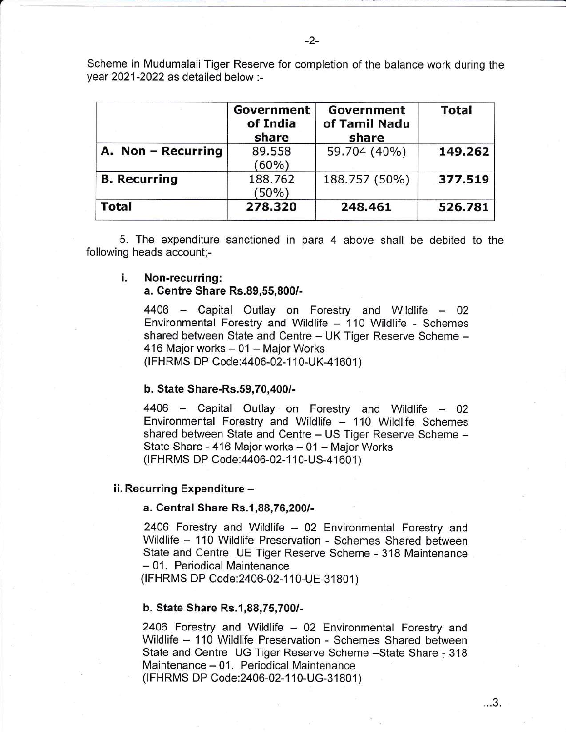Scheme in Mudumalaii Tiger Reserve for completion of the balance work during the year 2021-2022 as detailed below :-

|                     | Government<br>of India<br>share | Government<br>of Tamil Nadu<br>share | <b>Total</b> |
|---------------------|---------------------------------|--------------------------------------|--------------|
| A. Non - Recurring  | 89.558<br>$(60\%)$              | 59.704 (40%)                         | 149.262      |
| <b>B.</b> Recurring | 188.762<br>$(50\%)$             | 188.757 (50%)                        | 377.519      |
| <b>Total</b>        | 278.320                         | 248.461                              | 526.781      |

5. The expenditure sanctioned in para 4 above shall be debited to the following heads account;-

# i. Non-recurring:

### a. Centre Share Rs.89,55,800/-

 $4406$  – Capital Outlay on Forestry and Wildlife – 02 Environmental Forestry and Wildlife - 110 Wildlife - Schemes shared between State and Centre - UK Tiger Reserve Scheme -416 Major works - 01 - Major Works

(IFHRMS DP Code: 4406-02-110-UK-41601)

#### b. State Share-Rs.59,70,400/-

4406 - Capital Outlay on Forestry and Wildlife - 02 Environmental Forestry and Wildlife  $-$  110 Wildlife Schemes shared between State and Centre - US Tiger Reserve Scheme -State Share - 416 Major works - 01 - Major Works (IFHRMS DP Code: 4406-02-110-US-41601)

#### ii. Recurring Expenditure -

#### a. Central Share Rs.1,88,76 ,2001-

2406 Forestry and Wildlife - 02 Environmental Forestry and Wildlife - 110 Wildlife Preservation - Schemes Shared between State and Centre UE Tiger Reserve Scheme - 318 Maintenance - 01. Periodical Maintenance

(IFHRMS DP Code: 2406-02-110-UE-31801)

#### b. State Share Rs.1,88,75,7001-

2406 Forestry and Wildlife - 02 Environmental Forestry and Wildlife - 110 Wildlife Preservation - Schemes Shared between State and Centre UG Tiger Reserve Scheme -State Share - 318 Maintenance - 01. Periodical Maintenance (IFHRMS DP Code: 2406-02-110-UG-31801)